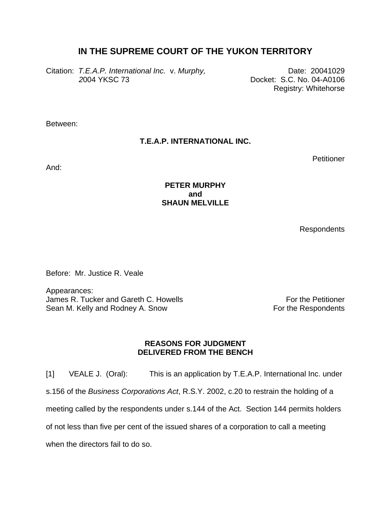## **IN THE SUPREME COURT OF THE YUKON TERRITORY**

Citation: T.E.A.P. International Inc. v. Murphy, Date: 20041029  *2*004 YKSC 73 Docket: S.C. No. 04-A0106

Registry: Whitehorse

Between:

## **T.E.A.P. INTERNATIONAL INC.**

And:

**Petitioner** 

## **PETER MURPHY and SHAUN MELVILLE**

Respondents

Before: Mr. Justice R. Veale

Appearances: James R. Tucker and Gareth C. Howells **Following Contract Contract Contract Contract Contract Contract Contract C** Sean M. Kelly and Rodney A. Snow For the Respondents

## **REASONS FOR JUDGMENT DELIVERED FROM THE BENCH**

[1] VEALE J. (Oral): This is an application by T.E.A.P. International Inc. under s.156 of the *Business Corporations Act*, R.S.Y. 2002, c.20 to restrain the holding of a meeting called by the respondents under s.144 of the Act. Section 144 permits holders of not less than five per cent of the issued shares of a corporation to call a meeting when the directors fail to do so.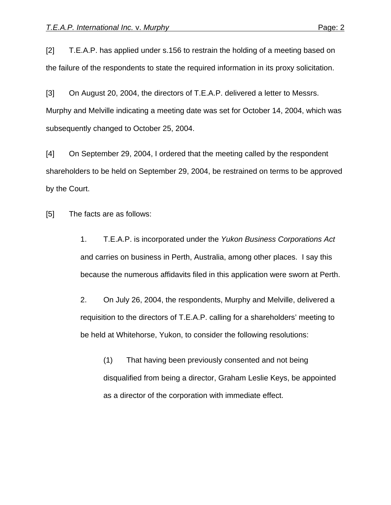[2] T.E.A.P. has applied under s.156 to restrain the holding of a meeting based on the failure of the respondents to state the required information in its proxy solicitation.

[3] On August 20, 2004, the directors of T.E.A.P. delivered a letter to Messrs. Murphy and Melville indicating a meeting date was set for October 14, 2004, which was subsequently changed to October 25, 2004.

[4] On September 29, 2004, I ordered that the meeting called by the respondent shareholders to be held on September 29, 2004, be restrained on terms to be approved by the Court.

[5] The facts are as follows:

1. T.E.A.P. is incorporated under the *Yukon Business Corporations Act* and carries on business in Perth, Australia, among other places. I say this because the numerous affidavits filed in this application were sworn at Perth.

2. On July 26, 2004, the respondents, Murphy and Melville, delivered a requisition to the directors of T.E.A.P. calling for a shareholders' meeting to be held at Whitehorse, Yukon, to consider the following resolutions:

(1) That having been previously consented and not being disqualified from being a director, Graham Leslie Keys, be appointed as a director of the corporation with immediate effect.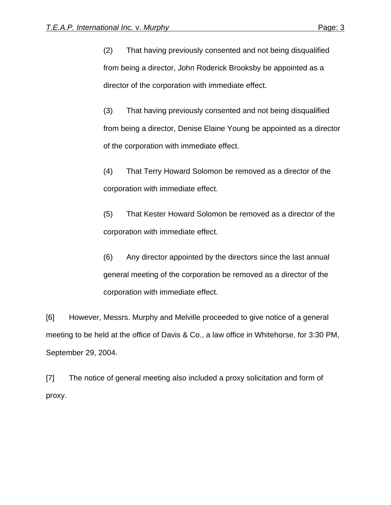(2) That having previously consented and not being disqualified from being a director, John Roderick Brooksby be appointed as a director of the corporation with immediate effect.

(3) That having previously consented and not being disqualified from being a director, Denise Elaine Young be appointed as a director of the corporation with immediate effect.

(4) That Terry Howard Solomon be removed as a director of the corporation with immediate effect.

(5) That Kester Howard Solomon be removed as a director of the corporation with immediate effect.

(6) Any director appointed by the directors since the last annual general meeting of the corporation be removed as a director of the corporation with immediate effect.

[6] However, Messrs. Murphy and Melville proceeded to give notice of a general meeting to be held at the office of Davis & Co., a law office in Whitehorse, for 3:30 PM, September 29, 2004.

[7] The notice of general meeting also included a proxy solicitation and form of proxy.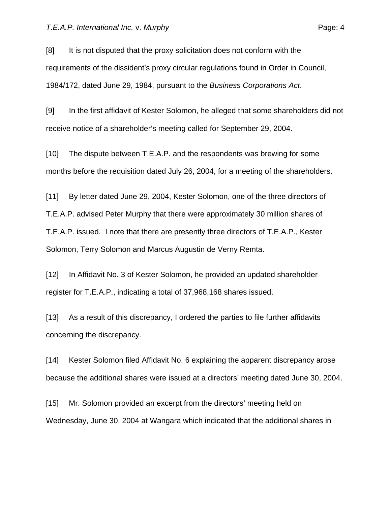[8] It is not disputed that the proxy solicitation does not conform with the

1984/172, dated June 29, 1984, pursuant to the *Business Corporations Act*.

requirements of the dissident's proxy circular regulations found in Order in Council,

[9] In the first affidavit of Kester Solomon, he alleged that some shareholders did not receive notice of a shareholder's meeting called for September 29, 2004.

[10] The dispute between T.E.A.P. and the respondents was brewing for some months before the requisition dated July 26, 2004, for a meeting of the shareholders.

[11] By letter dated June 29, 2004, Kester Solomon, one of the three directors of T.E.A.P. advised Peter Murphy that there were approximately 30 million shares of T.E.A.P. issued. I note that there are presently three directors of T.E.A.P., Kester Solomon, Terry Solomon and Marcus Augustin de Verny Remta.

[12] In Affidavit No. 3 of Kester Solomon, he provided an updated shareholder register for T.E.A.P., indicating a total of 37,968,168 shares issued.

[13] As a result of this discrepancy, I ordered the parties to file further affidavits concerning the discrepancy.

[14] Kester Solomon filed Affidavit No. 6 explaining the apparent discrepancy arose because the additional shares were issued at a directors' meeting dated June 30, 2004.

[15] Mr. Solomon provided an excerpt from the directors' meeting held on Wednesday, June 30, 2004 at Wangara which indicated that the additional shares in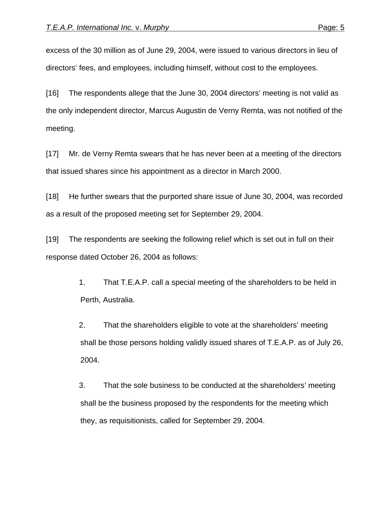excess of the 30 million as of June 29, 2004, were issued to various directors in lieu of directors' fees, and employees, including himself, without cost to the employees.

[16] The respondents allege that the June 30, 2004 directors' meeting is not valid as the only independent director, Marcus Augustin de Verny Remta, was not notified of the meeting.

[17] Mr. de Verny Remta swears that he has never been at a meeting of the directors that issued shares since his appointment as a director in March 2000.

[18] He further swears that the purported share issue of June 30, 2004, was recorded as a result of the proposed meeting set for September 29, 2004.

[19] The respondents are seeking the following relief which is set out in full on their response dated October 26, 2004 as follows:

> 1. That T.E.A.P. call a special meeting of the shareholders to be held in Perth, Australia.

2. That the shareholders eligible to vote at the shareholders' meeting shall be those persons holding validly issued shares of T.E.A.P. as of July 26, 2004.

3. That the sole business to be conducted at the shareholders' meeting shall be the business proposed by the respondents for the meeting which they, as requisitionists, called for September 29, 2004.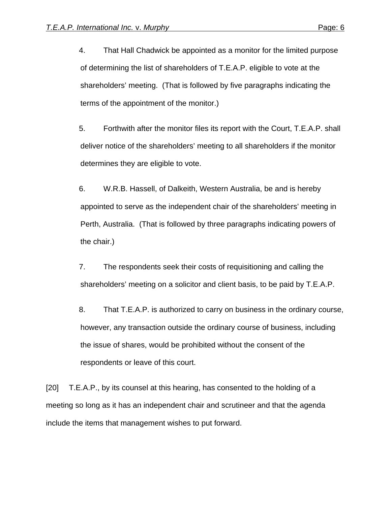4. That Hall Chadwick be appointed as a monitor for the limited purpose of determining the list of shareholders of T.E.A.P. eligible to vote at the shareholders' meeting. (That is followed by five paragraphs indicating the terms of the appointment of the monitor.)

5. Forthwith after the monitor files its report with the Court, T.E.A.P. shall deliver notice of the shareholders' meeting to all shareholders if the monitor determines they are eligible to vote.

6. W.R.B. Hassell, of Dalkeith, Western Australia, be and is hereby appointed to serve as the independent chair of the shareholders' meeting in Perth, Australia. (That is followed by three paragraphs indicating powers of the chair.)

7. The respondents seek their costs of requisitioning and calling the shareholders' meeting on a solicitor and client basis, to be paid by T.E.A.P.

8. That T.E.A.P. is authorized to carry on business in the ordinary course, however, any transaction outside the ordinary course of business, including the issue of shares, would be prohibited without the consent of the respondents or leave of this court.

[20] T.E.A.P., by its counsel at this hearing, has consented to the holding of a meeting so long as it has an independent chair and scrutineer and that the agenda include the items that management wishes to put forward.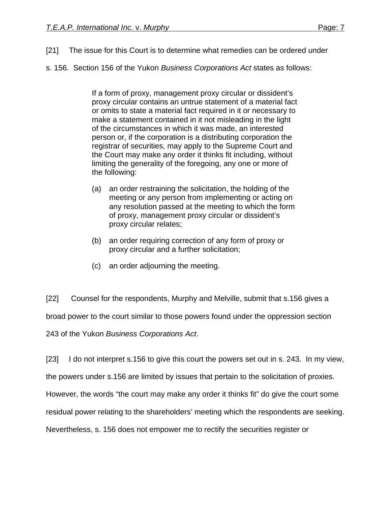- [21] The issue for this Court is to determine what remedies can be ordered under
- s. 156. Section 156 of the Yukon *Business Corporations Act* states as follows:

If a form of proxy, management proxy circular or dissident's proxy circular contains an untrue statement of a material fact or omits to state a material fact required in it or necessary to make a statement contained in it not misleading in the light of the circumstances in which it was made, an interested person or, if the corporation is a distributing corporation the registrar of securities, may apply to the Supreme Court and the Court may make any order it thinks fit including, without limiting the generality of the foregoing, any one or more of the following:

- (a) an order restraining the solicitation, the holding of the meeting or any person from implementing or acting on any resolution passed at the meeting to which the form of proxy, management proxy circular or dissident's proxy circular relates;
- (b) an order requiring correction of any form of proxy or proxy circular and a further solicitation;
- (c) an order adjourning the meeting.

[22] Counsel for the respondents, Murphy and Melville, submit that s.156 gives a broad power to the court similar to those powers found under the oppression section 243 of the Yukon *Business Corporations Act*.

[23] I do not interpret s.156 to give this court the powers set out in s. 243. In my view, the powers under s.156 are limited by issues that pertain to the solicitation of proxies. However, the words "the court may make any order it thinks fit" do give the court some residual power relating to the shareholders' meeting which the respondents are seeking. Nevertheless, s. 156 does not empower me to rectify the securities register or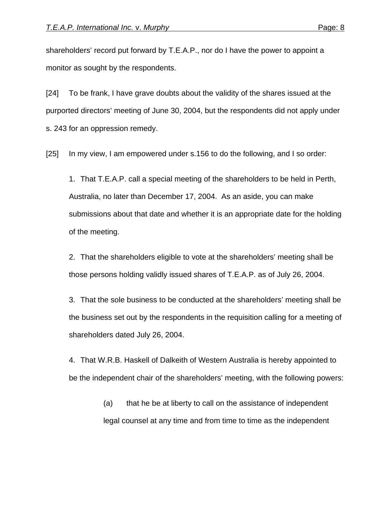shareholders' record put forward by T.E.A.P., nor do I have the power to appoint a monitor as sought by the respondents.

[24] To be frank, I have grave doubts about the validity of the shares issued at the purported directors' meeting of June 30, 2004, but the respondents did not apply under s. 243 for an oppression remedy.

[25] In my view, I am empowered under s.156 to do the following, and I so order:

1. That T.E.A.P. call a special meeting of the shareholders to be held in Perth, Australia, no later than December 17, 2004. As an aside, you can make submissions about that date and whether it is an appropriate date for the holding of the meeting.

2. That the shareholders eligible to vote at the shareholders' meeting shall be those persons holding validly issued shares of T.E.A.P. as of July 26, 2004.

3. That the sole business to be conducted at the shareholders' meeting shall be the business set out by the respondents in the requisition calling for a meeting of shareholders dated July 26, 2004.

4. That W.R.B. Haskell of Dalkeith of Western Australia is hereby appointed to be the independent chair of the shareholders' meeting, with the following powers:

> (a) that he be at liberty to call on the assistance of independent legal counsel at any time and from time to time as the independent